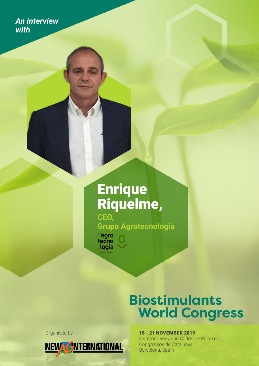*An interview with* 

# **Enrique** Riquelme, **CEO,**

**Grupo Agrotecnología**

 $\degree$ agro<br>tecno<br>logía

# **Biostimulants World Congress**

Organised by



18 - 21 NOVEMBER 2019

Fairmont Rey Juan Carlos I – Palau de Congressos de Catalunya Barcelona, Spain